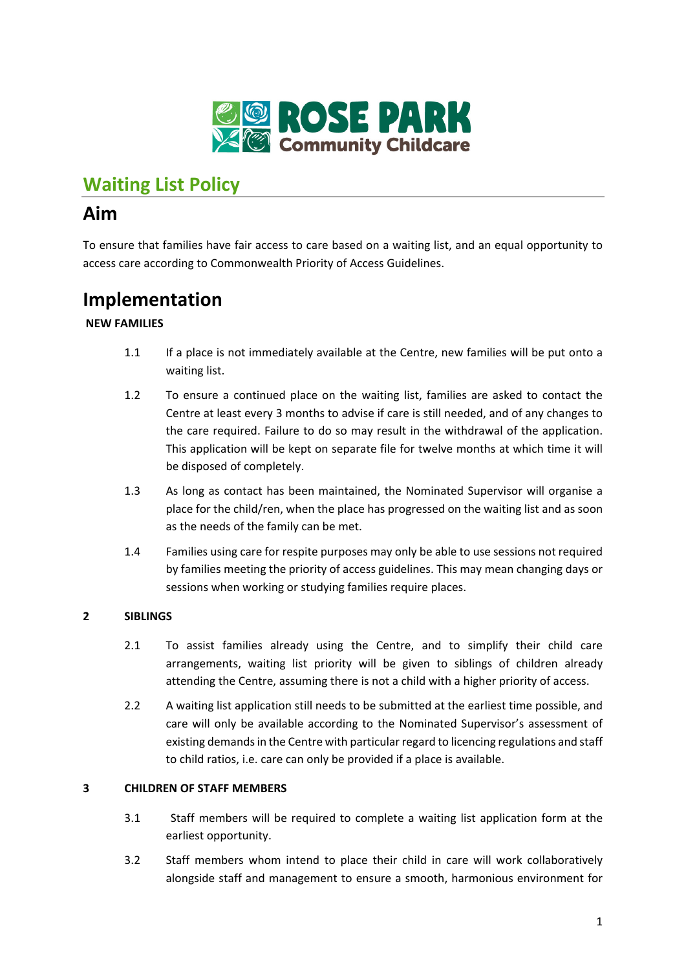

## **Waiting List Policy**

### **Aim**

To ensure that families have fair access to care based on a waiting list, and an equal opportunity to access care according to Commonwealth Priority of Access Guidelines.

### **Implementation**

### **NEW FAMILIES**

- 1.1 If a place is not immediately available at the Centre, new families will be put onto a waiting list.
- 1.2 To ensure a continued place on the waiting list, families are asked to contact the Centre at least every 3 months to advise if care is still needed, and of any changes to the care required. Failure to do so may result in the withdrawal of the application. This application will be kept on separate file for twelve months at which time it will be disposed of completely.
- 1.3 As long as contact has been maintained, the Nominated Supervisor will organise a place for the child/ren, when the place has progressed on the waiting list and as soon as the needs of the family can be met.
- 1.4 Families using care for respite purposes may only be able to use sessions not required by families meeting the priority of access guidelines. This may mean changing days or sessions when working or studying families require places.

### **2 SIBLINGS**

- 2.1 To assist families already using the Centre, and to simplify their child care arrangements, waiting list priority will be given to siblings of children already attending the Centre, assuming there is not a child with a higher priority of access.
- 2.2 A waiting list application still needs to be submitted at the earliest time possible, and care will only be available according to the Nominated Supervisor's assessment of existing demands in the Centre with particular regard to licencing regulations and staff to child ratios, i.e. care can only be provided if a place is available.

#### **3 CHILDREN OF STAFF MEMBERS**

- 3.1 Staff members will be required to complete a waiting list application form at the earliest opportunity.
- 3.2 Staff members whom intend to place their child in care will work collaboratively alongside staff and management to ensure a smooth, harmonious environment for